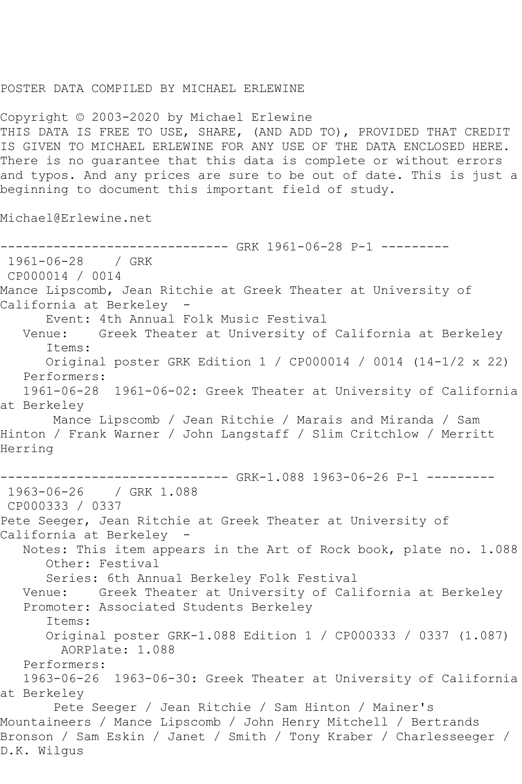## POSTER DATA COMPILED BY MICHAEL ERLEWINE

Copyright © 2003-2020 by Michael Erlewine THIS DATA IS FREE TO USE, SHARE, (AND ADD TO), PROVIDED THAT CREDIT IS GIVEN TO MICHAEL ERLEWINE FOR ANY USE OF THE DATA ENCLOSED HERE. There is no guarantee that this data is complete or without errors and typos. And any prices are sure to be out of date. This is just a beginning to document this important field of study.

Michael@Erlewine.net

------------------------------ GRK 1961-06-28 P-1 --------- 1961-06-28 / GRK CP000014 / 0014 Mance Lipscomb, Jean Ritchie at Greek Theater at University of California at Berkeley - Event: 4th Annual Folk Music Festival<br>Venue: Greek Theater at University of Greek Theater at University of California at Berkeley Items: Original poster GRK Edition 1 / CP000014 / 0014 (14-1/2 x 22) Performers: 1961-06-28 1961-06-02: Greek Theater at University of California at Berkeley Mance Lipscomb / Jean Ritchie / Marais and Miranda / Sam Hinton / Frank Warner / John Langstaff / Slim Critchlow / Merritt Herring ------------------------------ GRK-1.088 1963-06-26 P-1 --------- 1963-06-26 / GRK 1.088 CP000333 / 0337 Pete Seeger, Jean Ritchie at Greek Theater at University of California at Berkeley - Notes: This item appears in the Art of Rock book, plate no. 1.088 Other: Festival Series: 6th Annual Berkeley Folk Festival Venue: Greek Theater at University of California at Berkeley Promoter: Associated Students Berkeley Items: Original poster GRK-1.088 Edition 1 / CP000333 / 0337 (1.087) AORPlate: 1.088 Performers: 1963-06-26 1963-06-30: Greek Theater at University of California at Berkeley Pete Seeger / Jean Ritchie / Sam Hinton / Mainer's Mountaineers / Mance Lipscomb / John Henry Mitchell / Bertrands Bronson / Sam Eskin / Janet / Smith / Tony Kraber / Charlesseeger / D.K. Wilgus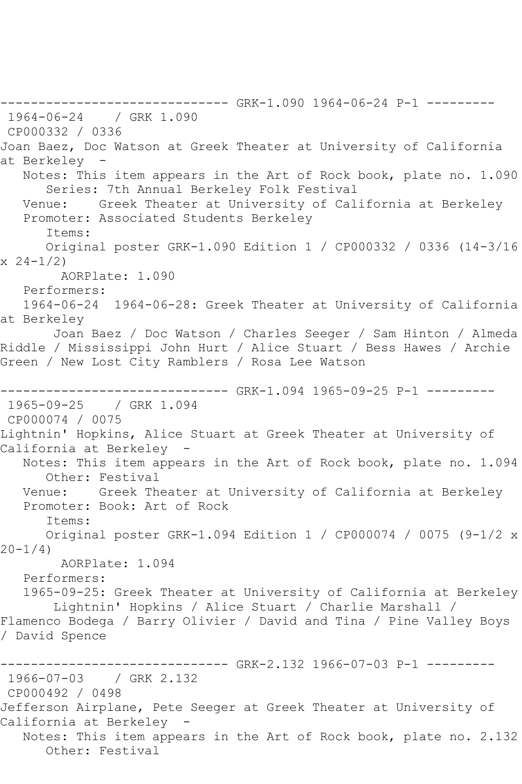------------------------------ GRK-1.090 1964-06-24 P-1 --------- 1964-06-24 / GRK 1.090 CP000332 / 0336 Joan Baez, Doc Watson at Greek Theater at University of California at Berkeley Notes: This item appears in the Art of Rock book, plate no. 1.090 Series: 7th Annual Berkeley Folk Festival Venue: Greek Theater at University of California at Berkeley Promoter: Associated Students Berkeley Items: Original poster GRK-1.090 Edition 1 / CP000332 / 0336 (14-3/16  $x \ 24-1/2$  AORPlate: 1.090 Performers: 1964-06-24 1964-06-28: Greek Theater at University of California at Berkeley Joan Baez / Doc Watson / Charles Seeger / Sam Hinton / Almeda Riddle / Mississippi John Hurt / Alice Stuart / Bess Hawes / Archie Green / New Lost City Ramblers / Rosa Lee Watson ------------------------------ GRK-1.094 1965-09-25 P-1 --------- 1965-09-25 / GRK 1.094 CP000074 / 0075 Lightnin' Hopkins, Alice Stuart at Greek Theater at University of California at Berkeley - Notes: This item appears in the Art of Rock book, plate no. 1.094 Other: Festival Venue: Greek Theater at University of California at Berkeley Promoter: Book: Art of Rock Items: Original poster GRK-1.094 Edition 1 / CP000074 / 0075 (9-1/2 x  $20 - 1/4$  AORPlate: 1.094 Performers: 1965-09-25: Greek Theater at University of California at Berkeley Lightnin' Hopkins / Alice Stuart / Charlie Marshall / Flamenco Bodega / Barry Olivier / David and Tina / Pine Valley Boys / David Spence ---------- GRK-2.132 1966-07-03 P-1 ---------1966-07-03 / GRK 2.132 CP000492 / 0498 Jefferson Airplane, Pete Seeger at Greek Theater at University of California at Berkeley Notes: This item appears in the Art of Rock book, plate no. 2.132 Other: Festival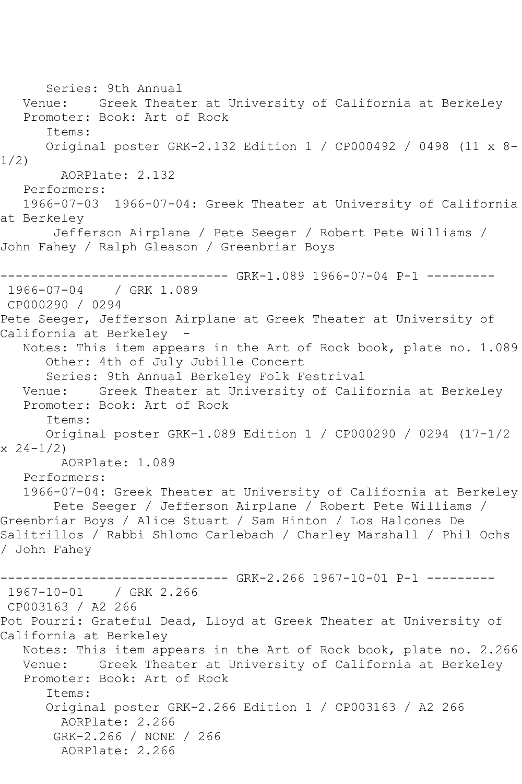Series: 9th Annual Venue: Greek Theater at University of California at Berkeley Promoter: Book: Art of Rock Items: Original poster GRK-2.132 Edition 1 / CP000492 / 0498 (11 x 8- 1/2) AORPlate: 2.132 Performers: 1966-07-03 1966-07-04: Greek Theater at University of California at Berkeley Jefferson Airplane / Pete Seeger / Robert Pete Williams / John Fahey / Ralph Gleason / Greenbriar Boys ------------------------------ GRK-1.089 1966-07-04 P-1 --------- 1966-07-04 / GRK 1.089 CP000290 / 0294 Pete Seeger, Jefferson Airplane at Greek Theater at University of California at Berkeley - Notes: This item appears in the Art of Rock book, plate no. 1.089 Other: 4th of July Jubille Concert Series: 9th Annual Berkeley Folk Festrival Venue: Greek Theater at University of California at Berkeley Promoter: Book: Art of Rock Items: Original poster GRK-1.089 Edition 1 / CP000290 / 0294 (17-1/2  $x \ 24-1/2$  AORPlate: 1.089 Performers: 1966-07-04: Greek Theater at University of California at Berkeley Pete Seeger / Jefferson Airplane / Robert Pete Williams / Greenbriar Boys / Alice Stuart / Sam Hinton / Los Halcones De Salitrillos / Rabbi Shlomo Carlebach / Charley Marshall / Phil Ochs / John Fahey ----- GRK-2.266 1967-10-01 P-1 ---------1967-10-01 / GRK 2.266 CP003163 / A2 266 Pot Pourri: Grateful Dead, Lloyd at Greek Theater at University of California at Berkeley Notes: This item appears in the Art of Rock book, plate no. 2.266<br>Venue: Greek Theater at University of California at Berkeley Greek Theater at University of California at Berkeley Promoter: Book: Art of Rock Items: Original poster GRK-2.266 Edition 1 / CP003163 / A2 266 AORPlate: 2.266 GRK-2.266 / NONE / 266 AORPlate: 2.266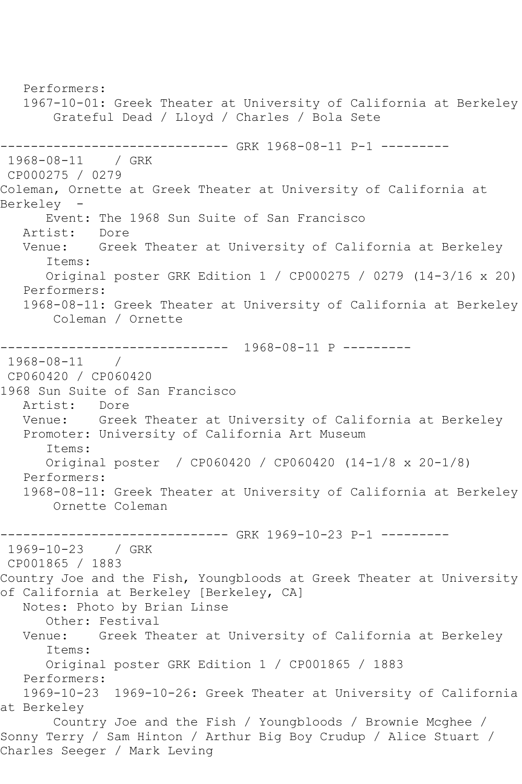Performers: 1967-10-01: Greek Theater at University of California at Berkeley Grateful Dead / Lloyd / Charles / Bola Sete ----------------------------- GRK 1968-08-11 P-1 ---------1968-08-11 / GRK CP000275 / 0279 Coleman, Ornette at Greek Theater at University of California at Berkeley - Event: The 1968 Sun Suite of San Francisco Artist: Dore<br>Venue: Gree Greek Theater at University of California at Berkeley Items: Original poster GRK Edition 1 / CP000275 / 0279 (14-3/16 x 20) Performers: 1968-08-11: Greek Theater at University of California at Berkeley Coleman / Ornette ------------------------------ 1968-08-11 P --------- 1968-08-11 / CP060420 / CP060420 1968 Sun Suite of San Francisco Artist: Dore Venue: Greek Theater at University of California at Berkeley Promoter: University of California Art Museum Items: Original poster / CP060420 / CP060420 (14-1/8 x 20-1/8) Performers: 1968-08-11: Greek Theater at University of California at Berkeley Ornette Coleman ------------------------------ GRK 1969-10-23 P-1 --------- 1969-10-23 / GRK CP001865 / 1883 Country Joe and the Fish, Youngbloods at Greek Theater at University of California at Berkeley [Berkeley, CA] Notes: Photo by Brian Linse Other: Festival Venue: Greek Theater at University of California at Berkeley Items: Original poster GRK Edition 1 / CP001865 / 1883 Performers: 1969-10-23 1969-10-26: Greek Theater at University of California at Berkeley Country Joe and the Fish / Youngbloods / Brownie Mcghee / Sonny Terry / Sam Hinton / Arthur Big Boy Crudup / Alice Stuart / Charles Seeger / Mark Leving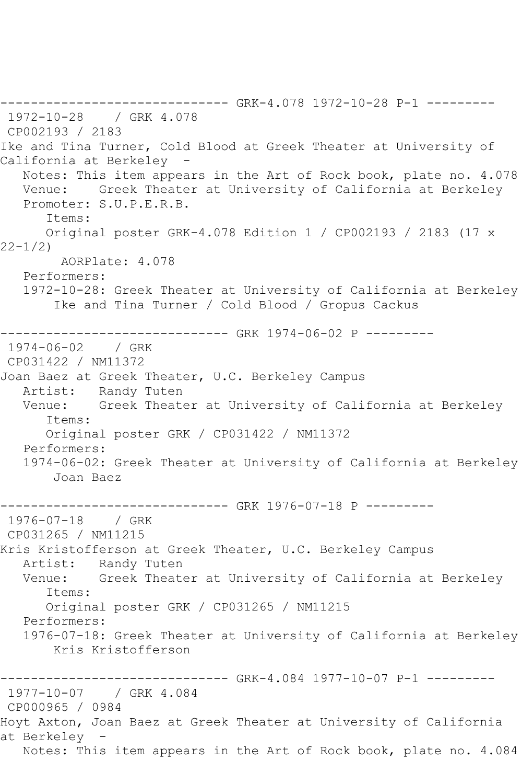------------------------------ GRK-4.078 1972-10-28 P-1 --------- 1972-10-28 / GRK 4.078 CP002193 / 2183 Ike and Tina Turner, Cold Blood at Greek Theater at University of California at Berkeley - Notes: This item appears in the Art of Rock book, plate no. 4.078 Venue: Greek Theater at University of California at Berkeley Promoter: S.U.P.E.R.B. Items: Original poster GRK-4.078 Edition 1 / CP002193 / 2183 (17 x 22-1/2) AORPlate: 4.078 Performers: 1972-10-28: Greek Theater at University of California at Berkeley Ike and Tina Turner / Cold Blood / Gropus Cackus ------------------------------ GRK 1974-06-02 P --------- 1974-06-02 / GRK CP031422 / NM11372 Joan Baez at Greek Theater, U.C. Berkeley Campus Artist: Randy Tuten Venue: Greek Theater at University of California at Berkeley Items: Original poster GRK / CP031422 / NM11372 Performers: 1974-06-02: Greek Theater at University of California at Berkeley Joan Baez ---------------------------------- GRK 1976-07-18 P ---------<br>1976-07-18 / GRK 1976-07-18 CP031265 / NM11215 Kris Kristofferson at Greek Theater, U.C. Berkeley Campus Artist: Randy Tuten Venue: Greek Theater at University of California at Berkeley Items: Original poster GRK / CP031265 / NM11215 Performers: 1976-07-18: Greek Theater at University of California at Berkeley Kris Kristofferson ------------------------------ GRK-4.084 1977-10-07 P-1 --------- 1977-10-07 / GRK 4.084 CP000965 / 0984 Hoyt Axton, Joan Baez at Greek Theater at University of California at Berkeley - Notes: This item appears in the Art of Rock book, plate no. 4.084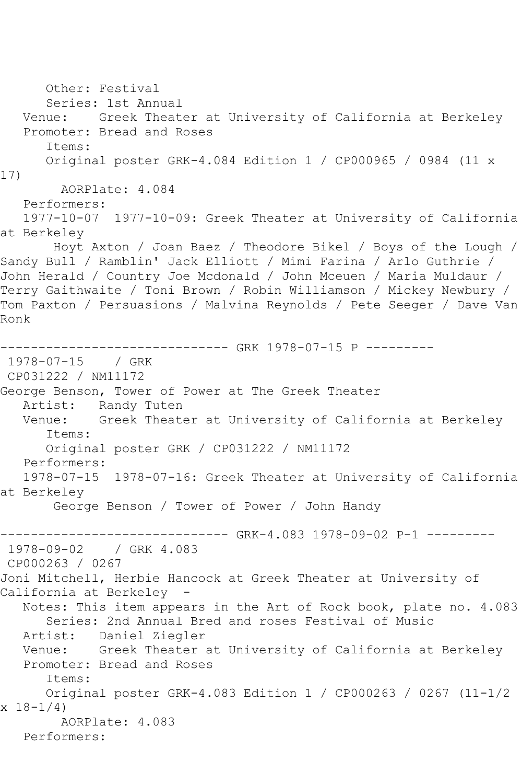Other: Festival Series: 1st Annual Venue: Greek Theater at University of California at Berkeley Promoter: Bread and Roses Items: Original poster GRK-4.084 Edition 1 / CP000965 / 0984 (11 x 17) AORPlate: 4.084 Performers: 1977-10-07 1977-10-09: Greek Theater at University of California at Berkeley Hoyt Axton / Joan Baez / Theodore Bikel / Boys of the Lough / Sandy Bull / Ramblin' Jack Elliott / Mimi Farina / Arlo Guthrie / John Herald / Country Joe Mcdonald / John Mceuen / Maria Muldaur / Terry Gaithwaite / Toni Brown / Robin Williamson / Mickey Newbury / Tom Paxton / Persuasions / Malvina Reynolds / Pete Seeger / Dave Van Ronk ------------------------------ GRK 1978-07-15 P --------- 1978-07-15 / GRK CP031222 / NM11172 George Benson, Tower of Power at The Greek Theater Artist: Randy Tuten Venue: Greek Theater at University of California at Berkeley Items: Original poster GRK / CP031222 / NM11172 Performers: 1978-07-15 1978-07-16: Greek Theater at University of California at Berkeley George Benson / Tower of Power / John Handy ------------------------------ GRK-4.083 1978-09-02 P-1 --------- 1978-09-02 / GRK 4.083 CP000263 / 0267 Joni Mitchell, Herbie Hancock at Greek Theater at University of California at Berkeley Notes: This item appears in the Art of Rock book, plate no. 4.083 Series: 2nd Annual Bred and roses Festival of Music Artist: Daniel Ziegler Venue: Greek Theater at University of California at Berkeley Promoter: Bread and Roses Items: Original poster GRK-4.083 Edition 1 / CP000263 / 0267 (11-1/2  $x 18 - 1/4$  AORPlate: 4.083 Performers: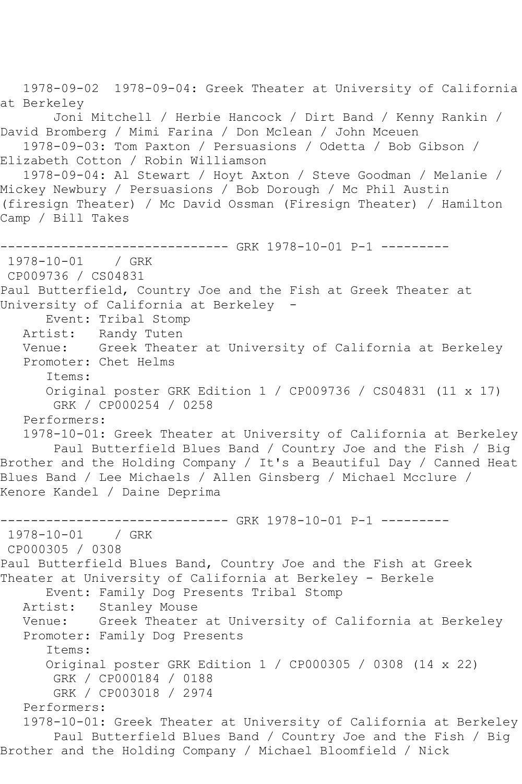1978-09-02 1978-09-04: Greek Theater at University of California at Berkeley Joni Mitchell / Herbie Hancock / Dirt Band / Kenny Rankin / David Bromberg / Mimi Farina / Don Mclean / John Mceuen 1978-09-03: Tom Paxton / Persuasions / Odetta / Bob Gibson / Elizabeth Cotton / Robin Williamson 1978-09-04: Al Stewart / Hoyt Axton / Steve Goodman / Melanie / Mickey Newbury / Persuasions / Bob Dorough / Mc Phil Austin (firesign Theater) / Mc David Ossman (Firesign Theater) / Hamilton Camp / Bill Takes ------------------------------ GRK 1978-10-01 P-1 ---------  $1978 - 10 - 01$ CP009736 / CS04831 Paul Butterfield, Country Joe and the Fish at Greek Theater at University of California at Berkeley - Event: Tribal Stomp Artist: Randy Tuten<br>Venue: Greek Theate Greek Theater at University of California at Berkeley Promoter: Chet Helms Items: Original poster GRK Edition 1 / CP009736 / CS04831 (11 x 17) GRK / CP000254 / 0258 Performers: 1978-10-01: Greek Theater at University of California at Berkeley Paul Butterfield Blues Band / Country Joe and the Fish / Big Brother and the Holding Company / It's a Beautiful Day / Canned Heat Blues Band / Lee Michaels / Allen Ginsberg / Michael Mcclure / Kenore Kandel / Daine Deprima ------------------------------ GRK 1978-10-01 P-1 --------- 1978-10-01 / GRK CP000305 / 0308 Paul Butterfield Blues Band, Country Joe and the Fish at Greek Theater at University of California at Berkeley - Berkele Event: Family Dog Presents Tribal Stomp Stanley Mouse Venue: Greek Theater at University of California at Berkeley Promoter: Family Dog Presents Items: Original poster GRK Edition 1 / CP000305 / 0308 (14 x 22) GRK / CP000184 / 0188 GRK / CP003018 / 2974 Performers: 1978-10-01: Greek Theater at University of California at Berkeley Paul Butterfield Blues Band / Country Joe and the Fish / Big Brother and the Holding Company / Michael Bloomfield / Nick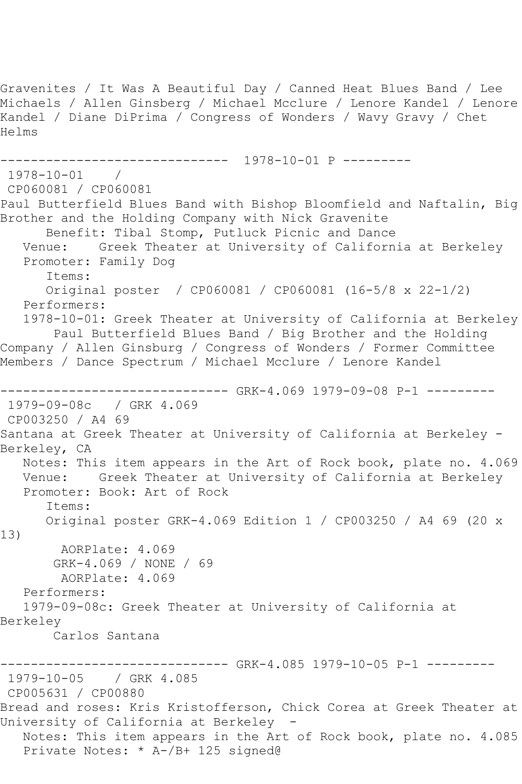Gravenites / It Was A Beautiful Day / Canned Heat Blues Band / Lee Michaels / Allen Ginsberg / Michael Mcclure / Lenore Kandel / Lenore Kandel / Diane DiPrima / Congress of Wonders / Wavy Gravy / Chet Helms ------------------------------ 1978-10-01 P --------- 1978-10-01 / CP060081 / CP060081 Paul Butterfield Blues Band with Bishop Bloomfield and Naftalin, Big Brother and the Holding Company with Nick Gravenite Benefit: Tibal Stomp, Putluck Picnic and Dance<br>Venue: Greek Theater at University of Californ Greek Theater at University of California at Berkeley Promoter: Family Dog Items: Original poster / CP060081 / CP060081 (16-5/8 x 22-1/2) Performers: 1978-10-01: Greek Theater at University of California at Berkeley Paul Butterfield Blues Band / Big Brother and the Holding Company / Allen Ginsburg / Congress of Wonders / Former Committee Members / Dance Spectrum / Michael Mcclure / Lenore Kandel ------------------------------ GRK-4.069 1979-09-08 P-1 --------- 1979-09-08c / GRK 4.069 CP003250 / A4 69 Santana at Greek Theater at University of California at Berkeley - Berkeley, CA Notes: This item appears in the Art of Rock book, plate no. 4.069 Venue: Greek Theater at University of California at Berkeley Promoter: Book: Art of Rock Items: Original poster GRK-4.069 Edition 1 / CP003250 / A4 69 (20 x 13) AORPlate: 4.069 GRK-4.069 / NONE / 69 AORPlate: 4.069 Performers: 1979-09-08c: Greek Theater at University of California at Berkeley Carlos Santana ------------- GRK-4.085 1979-10-05 P-1 ---------1979-10-05 / GRK 4.085 CP005631 / CP00880 Bread and roses: Kris Kristofferson, Chick Corea at Greek Theater at University of California at Berkeley - Notes: This item appears in the Art of Rock book, plate no. 4.085 Private Notes: \* A-/B+ 125 signed@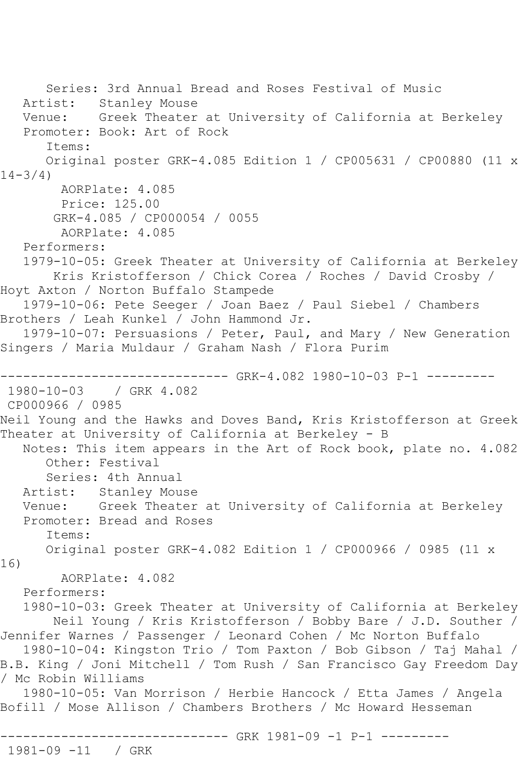Series: 3rd Annual Bread and Roses Festival of Music Artist: Stanley Mouse Venue: Greek Theater at University of California at Berkeley Promoter: Book: Art of Rock Items: Original poster GRK-4.085 Edition 1 / CP005631 / CP00880 (11 x  $14-3/4$ ) AORPlate: 4.085 Price: 125.00 GRK-4.085 / CP000054 / 0055 AORPlate: 4.085 Performers: 1979-10-05: Greek Theater at University of California at Berkeley Kris Kristofferson / Chick Corea / Roches / David Crosby / Hoyt Axton / Norton Buffalo Stampede 1979-10-06: Pete Seeger / Joan Baez / Paul Siebel / Chambers Brothers / Leah Kunkel / John Hammond Jr. 1979-10-07: Persuasions / Peter, Paul, and Mary / New Generation Singers / Maria Muldaur / Graham Nash / Flora Purim ------------------------------ GRK-4.082 1980-10-03 P-1 --------- 1980-10-03 / GRK 4.082 CP000966 / 0985 Neil Young and the Hawks and Doves Band, Kris Kristofferson at Greek Theater at University of California at Berkeley - B Notes: This item appears in the Art of Rock book, plate no. 4.082 Other: Festival Series: 4th Annual Artist: Stanley Mouse Venue: Greek Theater at University of California at Berkeley Promoter: Bread and Roses Items: Original poster GRK-4.082 Edition 1 / CP000966 / 0985 (11 x 16) AORPlate: 4.082 Performers: 1980-10-03: Greek Theater at University of California at Berkeley Neil Young / Kris Kristofferson / Bobby Bare / J.D. Souther / Jennifer Warnes / Passenger / Leonard Cohen / Mc Norton Buffalo 1980-10-04: Kingston Trio / Tom Paxton / Bob Gibson / Taj Mahal / B.B. King / Joni Mitchell / Tom Rush / San Francisco Gay Freedom Day / Mc Robin Williams 1980-10-05: Van Morrison / Herbie Hancock / Etta James / Angela Bofill / Mose Allison / Chambers Brothers / Mc Howard Hesseman ------------ GRK 1981-09 -1 P-1 ---------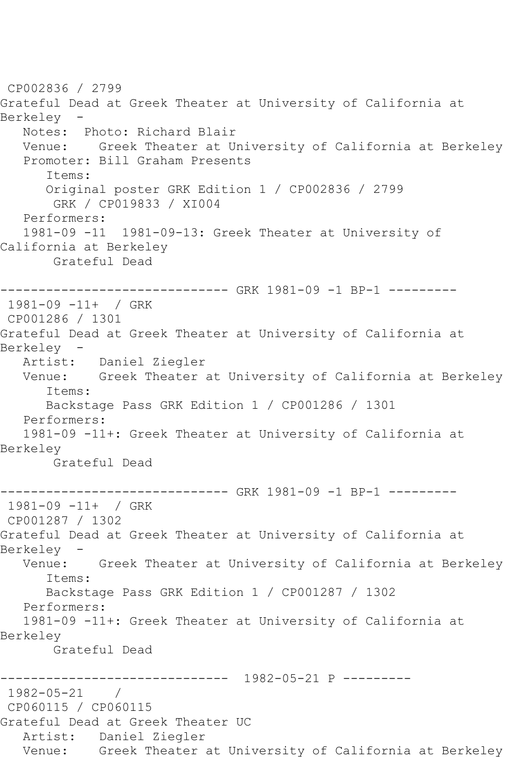CP002836 / 2799 Grateful Dead at Greek Theater at University of California at Berkeley - Notes: Photo: Richard Blair Venue: Greek Theater at University of California at Berkeley Promoter: Bill Graham Presents Items: Original poster GRK Edition 1 / CP002836 / 2799 GRK / CP019833 / XI004 Performers: 1981-09 -11 1981-09-13: Greek Theater at University of California at Berkeley Grateful Dead ------------------------------ GRK 1981-09 -1 BP-1 --------- 1981-09 -11+ / GRK CP001286 / 1301 Grateful Dead at Greek Theater at University of California at Berkeley - Artist: Daniel Ziegler Venue: Greek Theater at University of California at Berkeley Items: Backstage Pass GRK Edition 1 / CP001286 / 1301 Performers: 1981-09 -11+: Greek Theater at University of California at Berkeley Grateful Dead --------------- GRK 1981-09 -1 BP-1 ---------1981-09 -11+ / GRK CP001287 / 1302 Grateful Dead at Greek Theater at University of California at Berkeley - Venue: Greek Theater at University of California at Berkeley Items: Backstage Pass GRK Edition 1 / CP001287 / 1302 Performers: 1981-09 -11+: Greek Theater at University of California at Berkeley Grateful Dead ------------------------------ 1982-05-21 P --------- 1982-05-21 / CP060115 / CP060115 Grateful Dead at Greek Theater UC Artist: Daniel Ziegler Venue: Greek Theater at University of California at Berkeley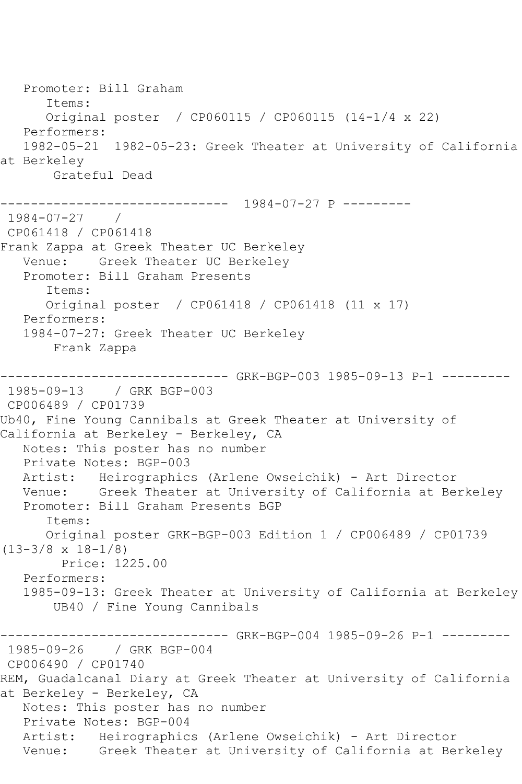Promoter: Bill Graham Items: Original poster / CP060115 / CP060115 (14-1/4 x 22) Performers: 1982-05-21 1982-05-23: Greek Theater at University of California at Berkeley Grateful Dead ------------------------------ 1984-07-27 P --------- 1984-07-27 / CP061418 / CP061418 Frank Zappa at Greek Theater UC Berkeley Venue: Greek Theater UC Berkeley Promoter: Bill Graham Presents Items: Original poster / CP061418 / CP061418 (11 x 17) Performers: 1984-07-27: Greek Theater UC Berkeley Frank Zappa ------------------------------ GRK-BGP-003 1985-09-13 P-1 --------- 1985-09-13 / GRK BGP-003 CP006489 / CP01739 Ub40, Fine Young Cannibals at Greek Theater at University of California at Berkeley - Berkeley, CA Notes: This poster has no number Private Notes: BGP-003 Artist: Heirographics (Arlene Owseichik) - Art Director Venue: Greek Theater at University of California at Berkeley Promoter: Bill Graham Presents BGP Items: Original poster GRK-BGP-003 Edition 1 / CP006489 / CP01739 (13-3/8 x 18-1/8) Price: 1225.00 Performers: 1985-09-13: Greek Theater at University of California at Berkeley UB40 / Fine Young Cannibals ------------------------------ GRK-BGP-004 1985-09-26 P-1 --------- 1985-09-26 / GRK BGP-004 CP006490 / CP01740 REM, Guadalcanal Diary at Greek Theater at University of California at Berkeley - Berkeley, CA Notes: This poster has no number Private Notes: BGP-004 Artist: Heirographics (Arlene Owseichik) - Art Director Venue: Greek Theater at University of California at Berkeley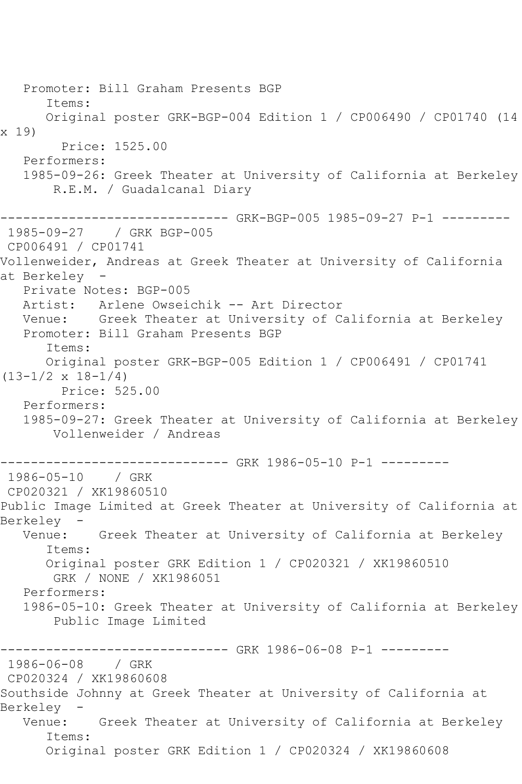Promoter: Bill Graham Presents BGP Items: Original poster GRK-BGP-004 Edition 1 / CP006490 / CP01740 (14 x 19) Price: 1525.00 Performers: 1985-09-26: Greek Theater at University of California at Berkeley R.E.M. / Guadalcanal Diary ------------------------------ GRK-BGP-005 1985-09-27 P-1 --------- 1985-09-27 / GRK BGP-005 CP006491 / CP01741 Vollenweider, Andreas at Greek Theater at University of California at Berkeley Private Notes: BGP-005 Artist: Arlene Owseichik -- Art Director Venue: Greek Theater at University of California at Berkeley Promoter: Bill Graham Presents BGP Items: Original poster GRK-BGP-005 Edition 1 / CP006491 / CP01741  $(13-1/2 \times 18-1/4)$  Price: 525.00 Performers: 1985-09-27: Greek Theater at University of California at Berkeley Vollenweider / Andreas ----------------------------- GRK 1986-05-10 P-1 ---------1986-05-10 / GRK CP020321 / XK19860510 Public Image Limited at Greek Theater at University of California at Berkeley - Venue: Greek Theater at University of California at Berkeley Items: Original poster GRK Edition 1 / CP020321 / XK19860510 GRK / NONE / XK1986051 Performers: 1986-05-10: Greek Theater at University of California at Berkeley Public Image Limited ----------------------------- GRK 1986-06-08 P-1 ---------1986-06-08 / GRK CP020324 / XK19860608 Southside Johnny at Greek Theater at University of California at Berkeley - Venue: Greek Theater at University of California at Berkeley Items: Original poster GRK Edition 1 / CP020324 / XK19860608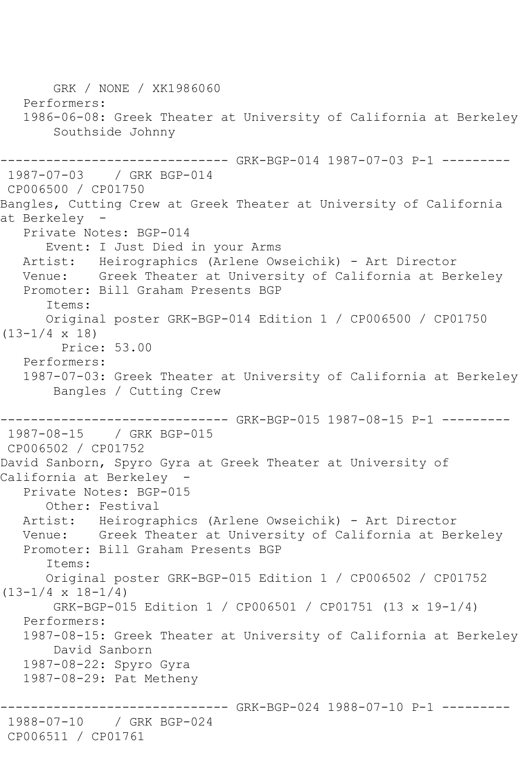GRK / NONE / XK1986060 Performers: 1986-06-08: Greek Theater at University of California at Berkeley Southside Johnny ------------ GRK-BGP-014 1987-07-03 P-1 ---------1987-07-03 / GRK BGP-014 CP006500 / CP01750 Bangles, Cutting Crew at Greek Theater at University of California at Berkeley - Private Notes: BGP-014 Event: I Just Died in your Arms Artist: Heirographics (Arlene Owseichik) - Art Director Venue: Greek Theater at University of California at Berkeley Promoter: Bill Graham Presents BGP Items: Original poster GRK-BGP-014 Edition 1 / CP006500 / CP01750 (13-1/4 x 18) Price: 53.00 Performers: 1987-07-03: Greek Theater at University of California at Berkeley Bangles / Cutting Crew ------------------------------ GRK-BGP-015 1987-08-15 P-1 --------- 1987-08-15 / GRK BGP-015 CP006502 / CP01752 David Sanborn, Spyro Gyra at Greek Theater at University of California at Berkeley Private Notes: BGP-015 Other: Festival Artist: Heirographics (Arlene Owseichik) - Art Director Venue: Greek Theater at University of California at Berkeley Promoter: Bill Graham Presents BGP Items: Original poster GRK-BGP-015 Edition 1 / CP006502 / CP01752  $(13-1/4 \times 18-1/4)$  GRK-BGP-015 Edition 1 / CP006501 / CP01751 (13 x 19-1/4) Performers: 1987-08-15: Greek Theater at University of California at Berkeley David Sanborn 1987-08-22: Spyro Gyra 1987-08-29: Pat Metheny ----------- GRK-BGP-024 1988-07-10 P-1 ---------1988-07-10 / GRK BGP-024 CP006511 / CP01761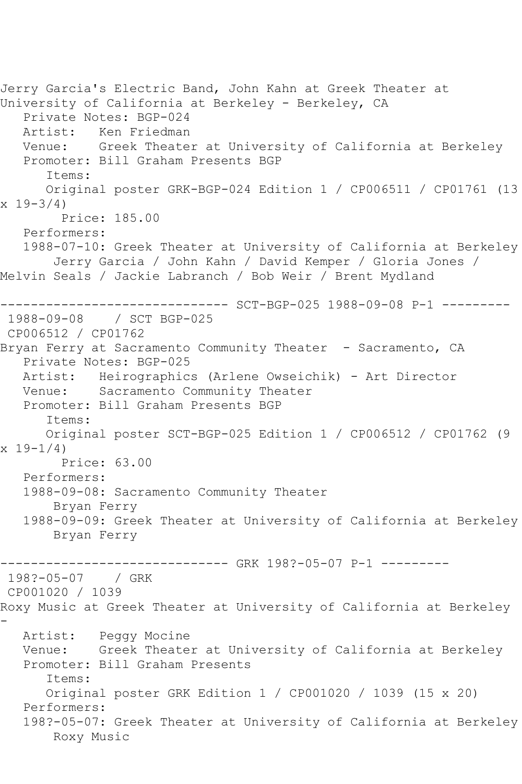Jerry Garcia's Electric Band, John Kahn at Greek Theater at University of California at Berkeley - Berkeley, CA Private Notes: BGP-024 Artist: Ken Friedman<br>Venue: Greek Theate Greek Theater at University of California at Berkeley Promoter: Bill Graham Presents BGP Items: Original poster GRK-BGP-024 Edition 1 / CP006511 / CP01761 (13  $x 19 - 3/4$  Price: 185.00 Performers: 1988-07-10: Greek Theater at University of California at Berkeley Jerry Garcia / John Kahn / David Kemper / Gloria Jones / Melvin Seals / Jackie Labranch / Bob Weir / Brent Mydland ------------------------------ SCT-BGP-025 1988-09-08 P-1 --------- 1988-09-08 / SCT BGP-025 CP006512 / CP01762 Bryan Ferry at Sacramento Community Theater - Sacramento, CA Private Notes: BGP-025 Artist: Heirographics (Arlene Owseichik) - Art Director Venue: Sacramento Community Theater Promoter: Bill Graham Presents BGP Items: Original poster SCT-BGP-025 Edition 1 / CP006512 / CP01762 (9  $x 19-1/4$  Price: 63.00 Performers: 1988-09-08: Sacramento Community Theater Bryan Ferry 1988-09-09: Greek Theater at University of California at Berkeley Bryan Ferry ------------------------------ GRK 198?-05-07 P-1 --------- 198?-05-07 / GRK CP001020 / 1039 Roxy Music at Greek Theater at University of California at Berkeley - Artist: Peggy Mocine Venue: Greek Theater at University of California at Berkeley Promoter: Bill Graham Presents Items: Original poster GRK Edition 1 / CP001020 / 1039 (15 x 20) Performers: 198?-05-07: Greek Theater at University of California at Berkeley Roxy Music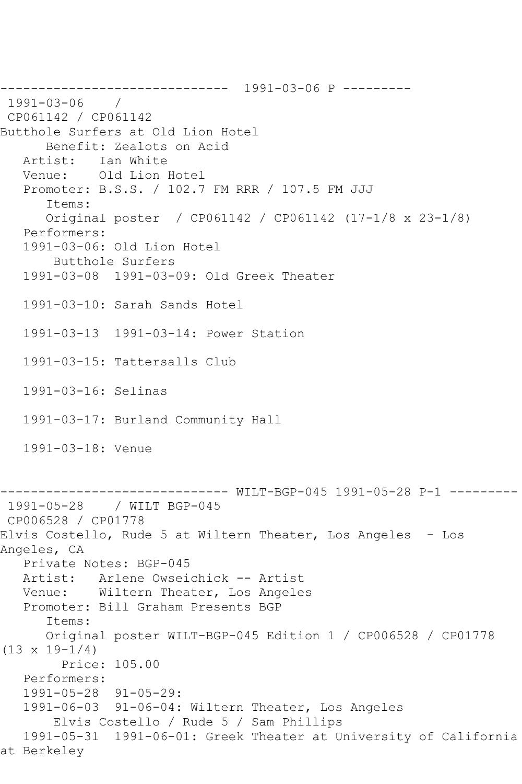------------------------------ 1991-03-06 P --------- 1991-03-06 / CP061142 / CP061142 Butthole Surfers at Old Lion Hotel Benefit: Zealots on Acid Artist: Ian White Venue: Old Lion Hotel Promoter: B.S.S. / 102.7 FM RRR / 107.5 FM JJJ Items: Original poster / CP061142 / CP061142 (17-1/8 x 23-1/8) Performers: 1991-03-06: Old Lion Hotel Butthole Surfers 1991-03-08 1991-03-09: Old Greek Theater 1991-03-10: Sarah Sands Hotel 1991-03-13 1991-03-14: Power Station 1991-03-15: Tattersalls Club 1991-03-16: Selinas 1991-03-17: Burland Community Hall 1991-03-18: Venue ------------------------------ WILT-BGP-045 1991-05-28 P-1 --------- 1991-05-28 / WILT BGP-045 CP006528 / CP01778 Elvis Costello, Rude 5 at Wiltern Theater, Los Angeles - Los Angeles, CA Private Notes: BGP-045 Artist: Arlene Owseichick -- Artist Venue: Wiltern Theater, Los Angeles Promoter: Bill Graham Presents BGP Items: Original poster WILT-BGP-045 Edition 1 / CP006528 / CP01778  $(13 \times 19 - 1/4)$  Price: 105.00 Performers: 1991-05-28 91-05-29: 1991-06-03 91-06-04: Wiltern Theater, Los Angeles Elvis Costello / Rude 5 / Sam Phillips 1991-05-31 1991-06-01: Greek Theater at University of California at Berkeley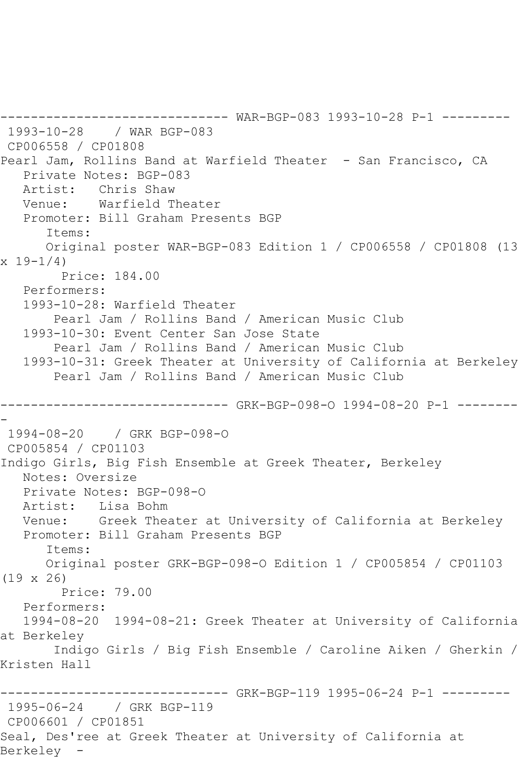------------------------------ WAR-BGP-083 1993-10-28 P-1 --------- 1993-10-28 / WAR BGP-083 CP006558 / CP01808 Pearl Jam, Rollins Band at Warfield Theater - San Francisco, CA Private Notes: BGP-083 Artist: Chris Shaw Venue: Warfield Theater Promoter: Bill Graham Presents BGP Items: Original poster WAR-BGP-083 Edition 1 / CP006558 / CP01808 (13  $x 19-1/4$  Price: 184.00 Performers: 1993-10-28: Warfield Theater Pearl Jam / Rollins Band / American Music Club 1993-10-30: Event Center San Jose State Pearl Jam / Rollins Band / American Music Club 1993-10-31: Greek Theater at University of California at Berkeley Pearl Jam / Rollins Band / American Music Club ------------------------------ GRK-BGP-098-O 1994-08-20 P-1 -------- - 1994-08-20 / GRK BGP-098-O CP005854 / CP01103 Indigo Girls, Big Fish Ensemble at Greek Theater, Berkeley Notes: Oversize Private Notes: BGP-098-O Artist: Lisa Bohm Venue: Greek Theater at University of California at Berkeley Promoter: Bill Graham Presents BGP Items: Original poster GRK-BGP-098-O Edition 1 / CP005854 / CP01103 (19 x 26) Price: 79.00 Performers: 1994-08-20 1994-08-21: Greek Theater at University of California at Berkeley Indigo Girls / Big Fish Ensemble / Caroline Aiken / Gherkin / Kristen Hall ------------------------------ GRK-BGP-119 1995-06-24 P-1 --------- 1995-06-24 / GRK BGP-119 CP006601 / CP01851 Seal, Des'ree at Greek Theater at University of California at Berkeley -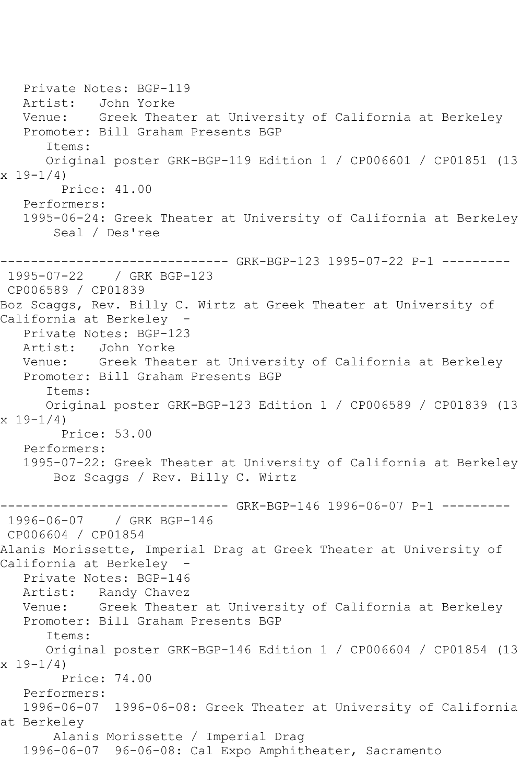Private Notes: BGP-119 Artist: John Yorke Venue: Greek Theater at University of California at Berkeley Promoter: Bill Graham Presents BGP Items: Original poster GRK-BGP-119 Edition 1 / CP006601 / CP01851 (13  $x 19-1/4$  Price: 41.00 Performers: 1995-06-24: Greek Theater at University of California at Berkeley Seal / Des'ree ------------------------------ GRK-BGP-123 1995-07-22 P-1 --------- 1995-07-22 / GRK BGP-123 CP006589 / CP01839 Boz Scaggs, Rev. Billy C. Wirtz at Greek Theater at University of California at Berkeley - Private Notes: BGP-123 Artist: John Yorke Venue: Greek Theater at University of California at Berkeley Promoter: Bill Graham Presents BGP Items: Original poster GRK-BGP-123 Edition 1 / CP006589 / CP01839 (13 x 19-1/4) Price: 53.00 Performers: 1995-07-22: Greek Theater at University of California at Berkeley Boz Scaggs / Rev. Billy C. Wirtz ------------------------------ GRK-BGP-146 1996-06-07 P-1 --------- 1996-06-07 / GRK BGP-146 CP006604 / CP01854 Alanis Morissette, Imperial Drag at Greek Theater at University of California at Berkeley - Private Notes: BGP-146 Artist: Randy Chavez Venue: Greek Theater at University of California at Berkeley Promoter: Bill Graham Presents BGP Items: Original poster GRK-BGP-146 Edition 1 / CP006604 / CP01854 (13  $x 19-1/4$  Price: 74.00 Performers: 1996-06-07 1996-06-08: Greek Theater at University of California at Berkeley Alanis Morissette / Imperial Drag 1996-06-07 96-06-08: Cal Expo Amphitheater, Sacramento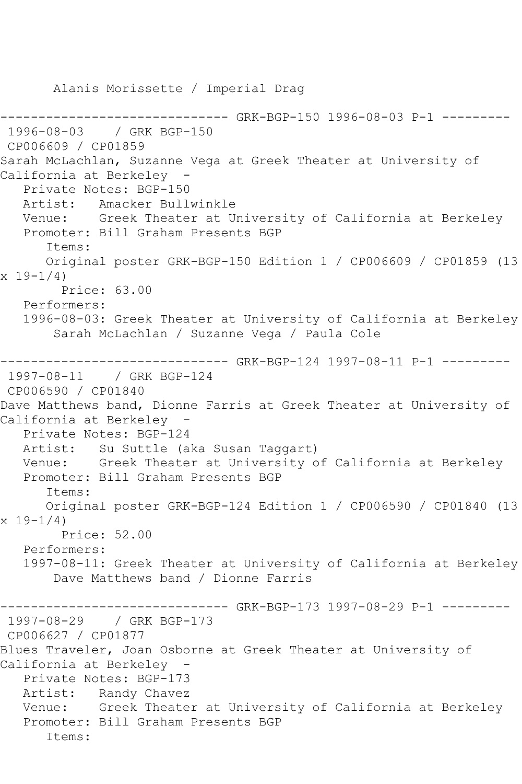Alanis Morissette / Imperial Drag ------------------------------ GRK-BGP-150 1996-08-03 P-1 --------- 1996-08-03 / GRK BGP-150 CP006609 / CP01859 Sarah McLachlan, Suzanne Vega at Greek Theater at University of California at Berkeley - Private Notes: BGP-150 Artist: Amacker Bullwinkle Venue: Greek Theater at University of California at Berkeley Promoter: Bill Graham Presents BGP Items: Original poster GRK-BGP-150 Edition 1 / CP006609 / CP01859 (13  $x 19 - 1/4$  Price: 63.00 Performers: 1996-08-03: Greek Theater at University of California at Berkeley Sarah McLachlan / Suzanne Vega / Paula Cole ------------------------------ GRK-BGP-124 1997-08-11 P-1 --------- 1997-08-11 / GRK BGP-124 CP006590 / CP01840 Dave Matthews band, Dionne Farris at Greek Theater at University of California at Berkeley - Private Notes: BGP-124 Artist: Su Suttle (aka Susan Taggart) Venue: Greek Theater at University of California at Berkeley Promoter: Bill Graham Presents BGP Items: Original poster GRK-BGP-124 Edition 1 / CP006590 / CP01840 (13  $x 19 - 1/4$  Price: 52.00 Performers: 1997-08-11: Greek Theater at University of California at Berkeley Dave Matthews band / Dionne Farris ------------------------------ GRK-BGP-173 1997-08-29 P-1 --------- 1997-08-29 / GRK BGP-173 CP006627 / CP01877 Blues Traveler, Joan Osborne at Greek Theater at University of California at Berkeley - Private Notes: BGP-173 Artist: Randy Chavez Venue: Greek Theater at University of California at Berkeley Promoter: Bill Graham Presents BGP Items: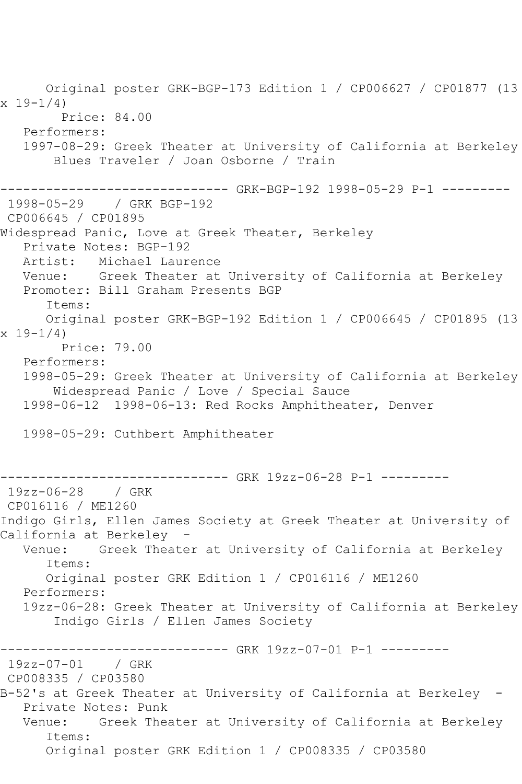Original poster GRK-BGP-173 Edition 1 / CP006627 / CP01877 (13  $x 19 - 1/4$  Price: 84.00 Performers: 1997-08-29: Greek Theater at University of California at Berkeley Blues Traveler / Joan Osborne / Train ------------------------------ GRK-BGP-192 1998-05-29 P-1 --------- 1998-05-29 / GRK BGP-192 CP006645 / CP01895 Widespread Panic, Love at Greek Theater, Berkeley Private Notes: BGP-192 Artist: Michael Laurence Venue: Greek Theater at University of California at Berkeley Promoter: Bill Graham Presents BGP Items: Original poster GRK-BGP-192 Edition 1 / CP006645 / CP01895 (13 x 19-1/4) Price: 79.00 Performers: 1998-05-29: Greek Theater at University of California at Berkeley Widespread Panic / Love / Special Sauce 1998-06-12 1998-06-13: Red Rocks Amphitheater, Denver 1998-05-29: Cuthbert Amphitheater ----------- GRK 19zz-06-28 P-1 ---------19zz-06-28 / GRK CP016116 / ME1260 Indigo Girls, Ellen James Society at Greek Theater at University of California at Berkeley - Greek Theater at University of California at Berkeley Items: Original poster GRK Edition 1 / CP016116 / ME1260 Performers: 19zz-06-28: Greek Theater at University of California at Berkeley Indigo Girls / Ellen James Society ------------------------------ GRK 19zz-07-01 P-1 --------- 19zz-07-01 / GRK CP008335 / CP03580 B-52's at Greek Theater at University of California at Berkeley - Private Notes: Punk Venue: Greek Theater at University of California at Berkeley Items: Original poster GRK Edition 1 / CP008335 / CP03580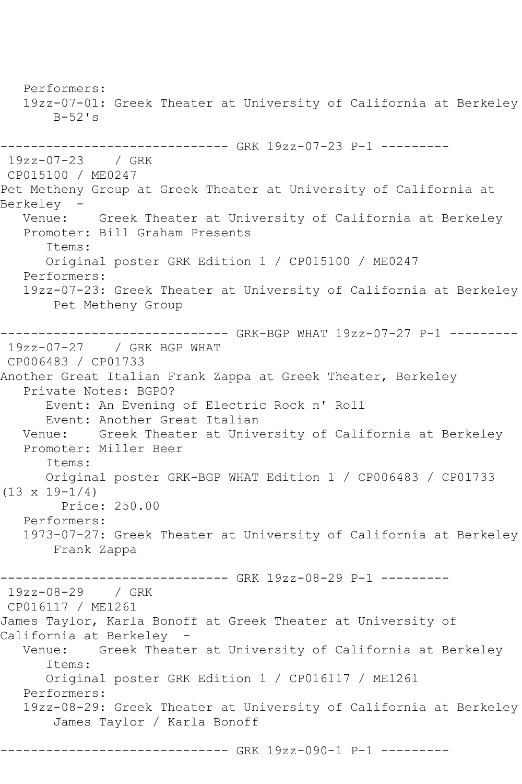Performers: 19zz-07-01: Greek Theater at University of California at Berkeley  $B-52$ 's ------------------------------ GRK 19zz-07-23 P-1 --------- 19zz-07-23 / GRK CP015100 / ME0247 Pet Metheny Group at Greek Theater at University of California at Berkeley Venue: Greek Theater at University of California at Berkeley Promoter: Bill Graham Presents Items: Original poster GRK Edition 1 / CP015100 / ME0247 Performers: 19zz-07-23: Greek Theater at University of California at Berkeley Pet Metheny Group ------------------------------ GRK-BGP WHAT 19zz-07-27 P-1 --------- 19zz-07-27 / GRK BGP WHAT CP006483 / CP01733 Another Great Italian Frank Zappa at Greek Theater, Berkeley Private Notes: BGPO? Event: An Evening of Electric Rock n' Roll Event: Another Great Italian Venue: Greek Theater at University of California at Berkeley Promoter: Miller Beer Items: Original poster GRK-BGP WHAT Edition 1 / CP006483 / CP01733  $(13 \times 19 - 1/4)$  Price: 250.00 Performers: 1973-07-27: Greek Theater at University of California at Berkeley Frank Zappa ------------------------------ GRK 19zz-08-29 P-1 --------- 19zz-08-29 / GRK CP016117 / ME1261 James Taylor, Karla Bonoff at Greek Theater at University of California at Berkeley<br>Venue: - Greek Thea Greek Theater at University of California at Berkeley Items: Original poster GRK Edition 1 / CP016117 / ME1261 Performers: 19zz-08-29: Greek Theater at University of California at Berkeley James Taylor / Karla Bonoff

------------------------------ GRK 19zz-090-1 P-1 ---------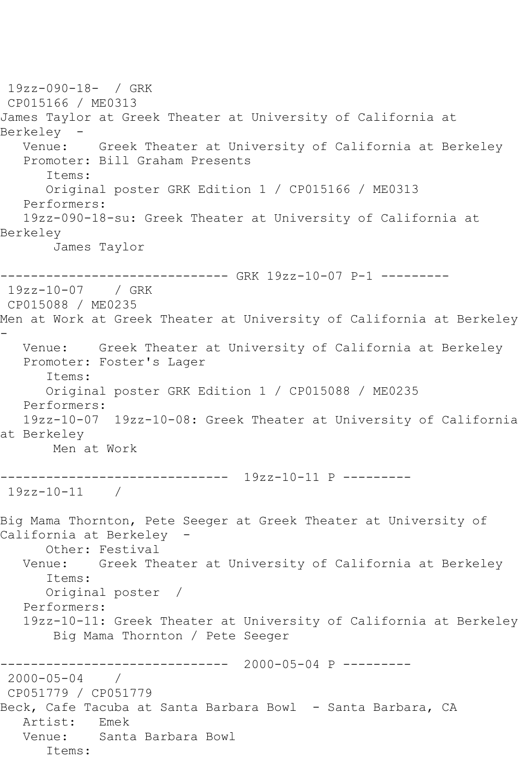```
19zz-090-18- / GRK 
CP015166 / ME0313
James Taylor at Greek Theater at University of California at 
Berkeley<br>:Venue
          Greek Theater at University of California at Berkeley
   Promoter: Bill Graham Presents
       Items:
      Original poster GRK Edition 1 / CP015166 / ME0313
   Performers:
   19zz-090-18-su: Greek Theater at University of California at 
Berkeley
       James Taylor
------------------------------ GRK 19zz-10-07 P-1 ---------
19zz-10-07 / GRK 
CP015088 / ME0235
Men at Work at Greek Theater at University of California at Berkeley 
-
   Venue: Greek Theater at University of California at Berkeley
   Promoter: Foster's Lager
       Items:
      Original poster GRK Edition 1 / CP015088 / ME0235
   Performers:
   19zz-10-07 19zz-10-08: Greek Theater at University of California 
at Berkeley
       Men at Work
------------------------------ 19zz-10-11 P ---------
19zz-10-11 / 
Big Mama Thornton, Pete Seeger at Greek Theater at University of 
California at Berkeley -
      Other: Festival
   Venue: Greek Theater at University of California at Berkeley
       Items:
      Original poster / 
   Performers:
   19zz-10-11: Greek Theater at University of California at Berkeley
        Big Mama Thornton / Pete Seeger
                  ------------------------------ 2000-05-04 P ---------
2000-05-04 / 
CP051779 / CP051779
Beck, Cafe Tacuba at Santa Barbara Bowl - Santa Barbara, CA
   Artist: Emek
   Venue: Santa Barbara Bowl
      Items:
```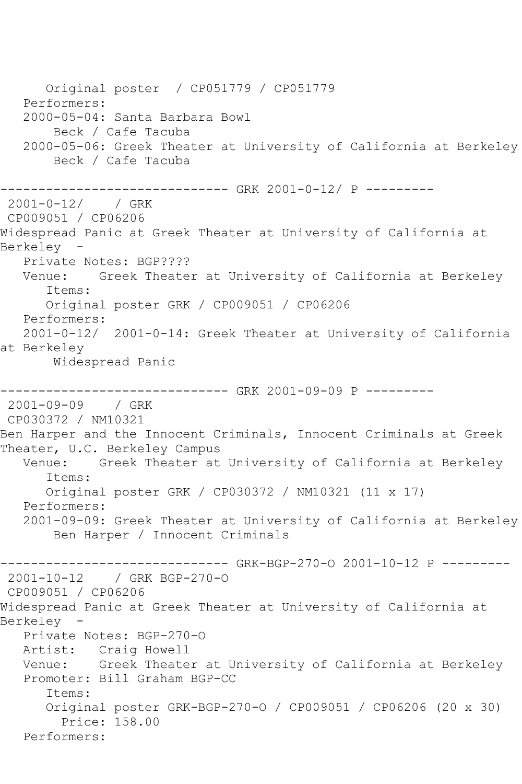Original poster / CP051779 / CP051779 Performers: 2000-05-04: Santa Barbara Bowl Beck / Cafe Tacuba 2000-05-06: Greek Theater at University of California at Berkeley Beck / Cafe Tacuba ------------------------------ GRK 2001-0-12/ P --------- 2001-0-12/ / GRK CP009051 / CP06206 Widespread Panic at Greek Theater at University of California at<br>Berkelev – Berkeley Private Notes: BGP???? Venue: Greek Theater at University of California at Berkeley Items: Original poster GRK / CP009051 / CP06206 Performers: 2001-0-12/ 2001-0-14: Greek Theater at University of California at Berkeley Widespread Panic ------------------------------ GRK 2001-09-09 P --------- 2001-09-09 / GRK CP030372 / NM10321 Ben Harper and the Innocent Criminals, Innocent Criminals at Greek Theater, U.C. Berkeley Campus<br>Venue: Greek Theater at Greek Theater at University of California at Berkeley Items: Original poster GRK / CP030372 / NM10321 (11 x 17) Performers: 2001-09-09: Greek Theater at University of California at Berkeley Ben Harper / Innocent Criminals ------------------------------ GRK-BGP-270-O 2001-10-12 P --------- 2001-10-12 / GRK BGP-270-O CP009051 / CP06206 Widespread Panic at Greek Theater at University of California at Berkeley - Private Notes: BGP-270-O Artist: Craig Howell Venue: Greek Theater at University of California at Berkeley Promoter: Bill Graham BGP-CC Items: Original poster GRK-BGP-270-O / CP009051 / CP06206 (20 x 30) Price: 158.00 Performers: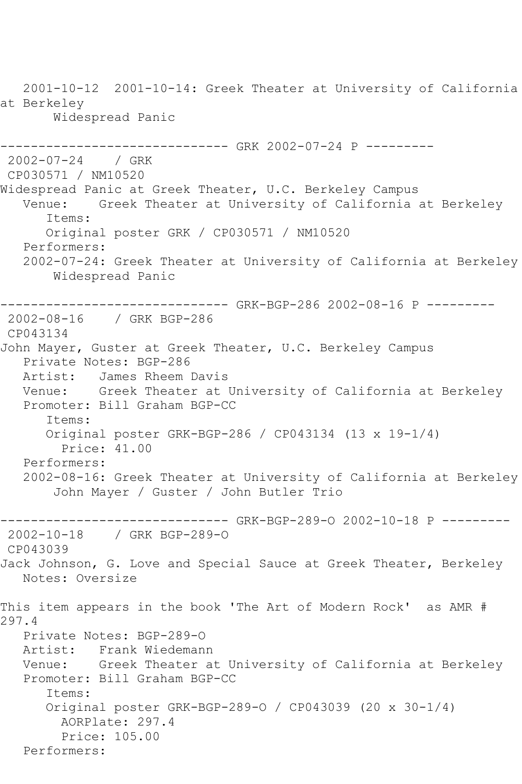2001-10-12 2001-10-14: Greek Theater at University of California at Berkeley Widespread Panic ------------------------------ GRK 2002-07-24 P --------- 2002-07-24 / GRK CP030571 / NM10520 Widespread Panic at Greek Theater, U.C. Berkeley Campus Venue: Greek Theater at University of California at Berkeley Items: Original poster GRK / CP030571 / NM10520 Performers: 2002-07-24: Greek Theater at University of California at Berkeley Widespread Panic ------------------------------ GRK-BGP-286 2002-08-16 P --------- 2002-08-16 / GRK BGP-286 CP043134 John Mayer, Guster at Greek Theater, U.C. Berkeley Campus Private Notes: BGP-286 Artist: James Rheem Davis Venue: Greek Theater at University of California at Berkeley Promoter: Bill Graham BGP-CC Items: Original poster GRK-BGP-286 / CP043134 (13 x 19-1/4) Price: 41.00 Performers: 2002-08-16: Greek Theater at University of California at Berkeley John Mayer / Guster / John Butler Trio ------------------------------ GRK-BGP-289-0 2002-10-18 P ---------<br>2002-10-18 / GRK BGP-289-0 2002-10-18 / GRK BGP-289-O CP043039 Jack Johnson, G. Love and Special Sauce at Greek Theater, Berkeley Notes: Oversize This item appears in the book 'The Art of Modern Rock' as AMR # 297.4 Private Notes: BGP-289-0<br>Artist: Frank Wiedeman Frank Wiedemann Venue: Greek Theater at University of California at Berkeley Promoter: Bill Graham BGP-CC Items: Original poster GRK-BGP-289-O / CP043039 (20 x 30-1/4) AORPlate: 297.4 Price: 105.00 Performers: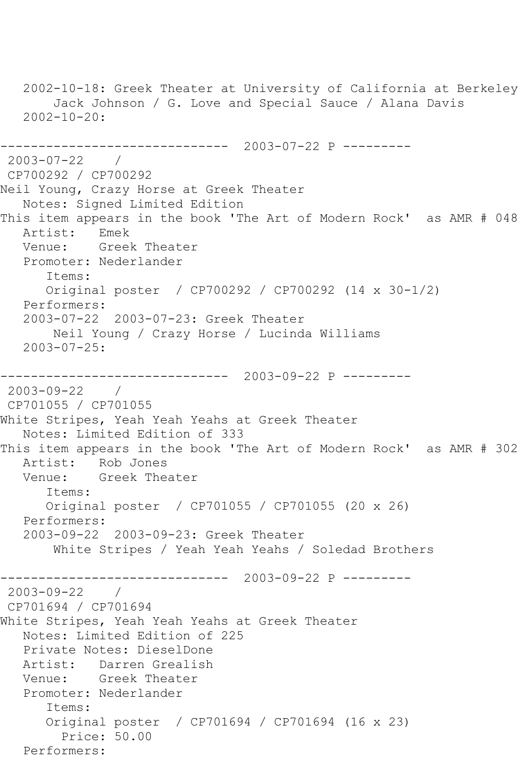```
 2002-10-18: Greek Theater at University of California at Berkeley
        Jack Johnson / G. Love and Special Sauce / Alana Davis
   2002 - 10 - 20:------------------------------ 2003-07-22 P ---------
2003-07-22 / 
CP700292 / CP700292
Neil Young, Crazy Horse at Greek Theater
   Notes: Signed Limited Edition
This item appears in the book 'The Art of Modern Rock' as AMR # 048<br>Artist: Emek
  Artist:<br>Venue:
            Greek Theater
    Promoter: Nederlander
       Items:
       Original poster / CP700292 / CP700292 (14 x 30-1/2)
   Performers:
    2003-07-22 2003-07-23: Greek Theater
        Neil Young / Crazy Horse / Lucinda Williams
    2003-07-25:
------------------------------ 2003-09-22 P ---------
2003-09-22 / 
CP701055 / CP701055
White Stripes, Yeah Yeah Yeahs at Greek Theater
   Notes: Limited Edition of 333
This item appears in the book 'The Art of Modern Rock' as AMR # 302
  Artist: Rob Jones<br>Venue: Greek The
            Greek Theater
       Items:
       Original poster / CP701055 / CP701055 (20 x 26)
   Performers:
    2003-09-22 2003-09-23: Greek Theater
        White Stripes / Yeah Yeah Yeahs / Soledad Brothers
                   ------------------------------ 2003-09-22 P ---------
2003-09-22 / 
CP701694 / CP701694
White Stripes, Yeah Yeah Yeahs at Greek Theater
   Notes: Limited Edition of 225
    Private Notes: DieselDone
   Artist: Darren Grealish
   Venue: Greek Theater
   Promoter: Nederlander
       Items:
       Original poster / CP701694 / CP701694 (16 x 23)
         Price: 50.00
   Performers:
```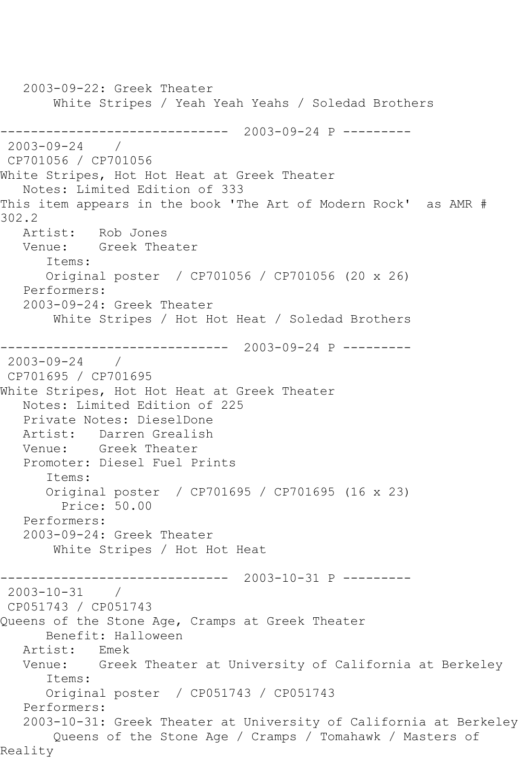2003-09-22: Greek Theater White Stripes / Yeah Yeah Yeahs / Soledad Brothers ------------------------------ 2003-09-24 P ---------  $2003 - 09 - 24$ CP701056 / CP701056 White Stripes, Hot Hot Heat at Greek Theater Notes: Limited Edition of 333 This item appears in the book 'The Art of Modern Rock' as AMR # 302.2<br>Artist: Rob Jones Venue: Greek Theater Items: Original poster / CP701056 / CP701056 (20 x 26) Performers: 2003-09-24: Greek Theater White Stripes / Hot Hot Heat / Soledad Brothers ------------------------------ 2003-09-24 P ---------  $2003 - 09 - 24$ CP701695 / CP701695 White Stripes, Hot Hot Heat at Greek Theater Notes: Limited Edition of 225 Private Notes: DieselDone Artist: Darren Grealish Venue: Greek Theater Promoter: Diesel Fuel Prints Items: Original poster / CP701695 / CP701695 (16 x 23) Price: 50.00 Performers: 2003-09-24: Greek Theater White Stripes / Hot Hot Heat ------------------------------ 2003-10-31 P --------- 2003-10-31 / CP051743 / CP051743 Queens of the Stone Age, Cramps at Greek Theater Benefit: Halloween Artist: Emek Venue: Greek Theater at University of California at Berkeley Items: Original poster / CP051743 / CP051743 Performers: 2003-10-31: Greek Theater at University of California at Berkeley Queens of the Stone Age / Cramps / Tomahawk / Masters of Reality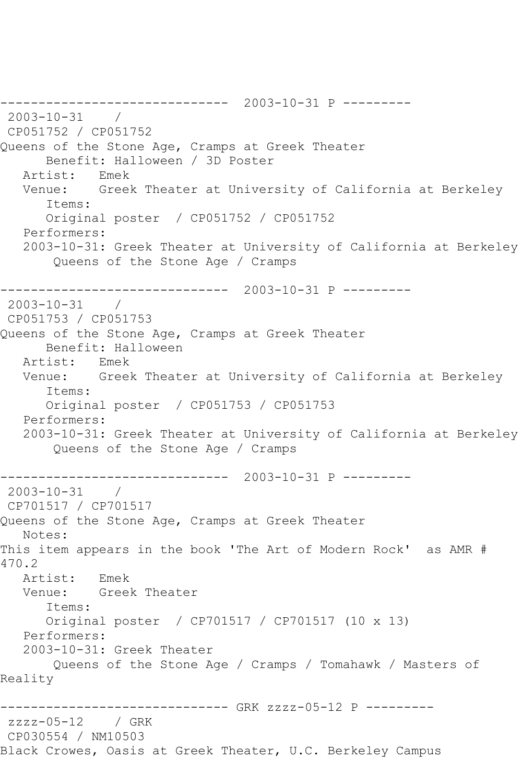------------------------------ 2003-10-31 P --------- 2003-10-31 / CP051752 / CP051752 Queens of the Stone Age, Cramps at Greek Theater Benefit: Halloween / 3D Poster<br>ist: Fmek Artist: Venue: Greek Theater at University of California at Berkeley Items: Original poster / CP051752 / CP051752 Performers: 2003-10-31: Greek Theater at University of California at Berkeley Queens of the Stone Age / Cramps ------------------------------ 2003-10-31 P --------- 2003-10-31 / CP051753 / CP051753 Queens of the Stone Age, Cramps at Greek Theater Benefit: Halloween<br>cist: Emek Artist: Venue: Greek Theater at University of California at Berkeley Items: Original poster / CP051753 / CP051753 Performers: 2003-10-31: Greek Theater at University of California at Berkeley Queens of the Stone Age / Cramps ------------------------------ 2003-10-31 P ---------  $2003 - 10 - 31$ CP701517 / CP701517 Queens of the Stone Age, Cramps at Greek Theater Notes: This item appears in the book 'The Art of Modern Rock' as AMR # 470.2 Artist: Emek Venue: Greek Theater Items: Original poster / CP701517 / CP701517 (10 x 13) Performers: 2003-10-31: Greek Theater Queens of the Stone Age / Cramps / Tomahawk / Masters of Reality ------------------------------ GRK zzzz-05-12 P -------- zzzz-05-12 / GRK CP030554 / NM10503 Black Crowes, Oasis at Greek Theater, U.C. Berkeley Campus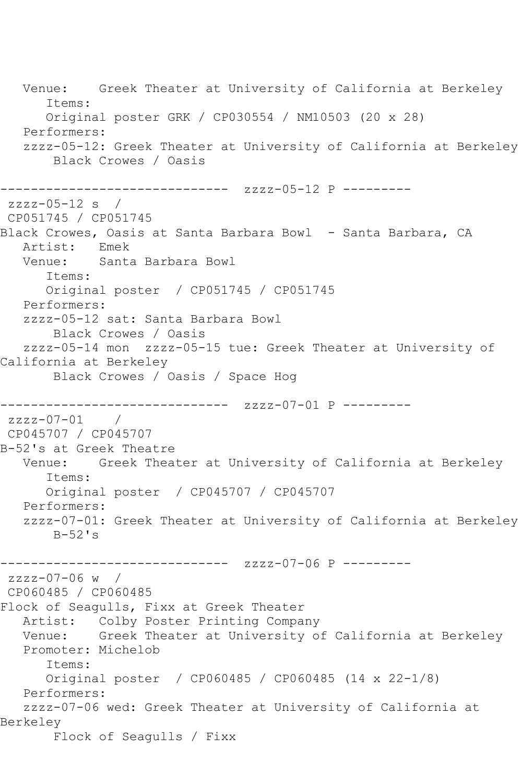Venue: Greek Theater at University of California at Berkeley Items: Original poster GRK / CP030554 / NM10503 (20 x 28) Performers: zzzz-05-12: Greek Theater at University of California at Berkeley Black Crowes / Oasis ------------------------------ zzzz-05-12 P -------- zzzz-05-12 s / CP051745 / CP051745 Black Crowes, Oasis at Santa Barbara Bowl - Santa Barbara, CA Artist: Emek<br>Venue: Santa Santa Barbara Bowl Items: Original poster / CP051745 / CP051745 Performers: zzzz-05-12 sat: Santa Barbara Bowl Black Crowes / Oasis zzzz-05-14 mon zzzz-05-15 tue: Greek Theater at University of California at Berkeley Black Crowes / Oasis / Space Hog ------------------------------ zzzz-07-01 P -------- zzzz-07-01 / CP045707 / CP045707 B-52's at Greek Theatre Venue: Greek Theater at University of California at Berkeley Items: Original poster / CP045707 / CP045707 Performers: zzzz-07-01: Greek Theater at University of California at Berkeley B-52's ------------------------------ zzzz-07-06 P -------- zzzz-07-06 w / CP060485 / CP060485 Flock of Seagulls, Fixx at Greek Theater Artist: Colby Poster Printing Company Venue: Greek Theater at University of California at Berkeley Promoter: Michelob Items: Original poster / CP060485 / CP060485 (14 x 22-1/8) Performers: zzzz-07-06 wed: Greek Theater at University of California at Berkeley Flock of Seagulls / Fixx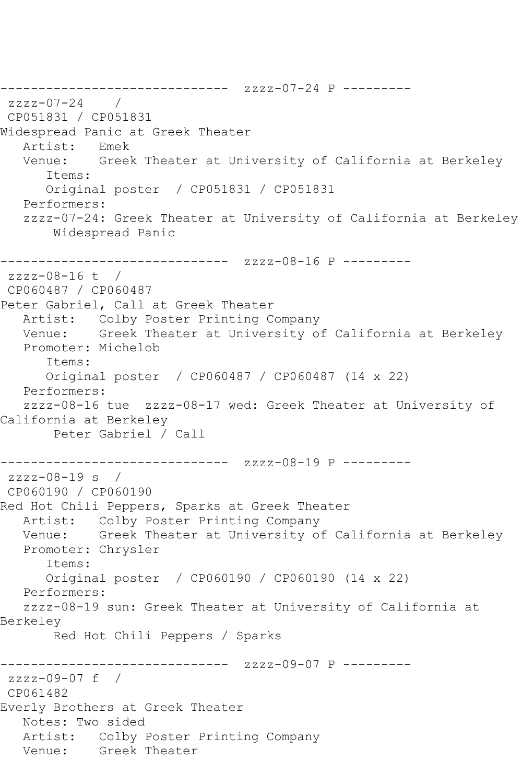------------------------------ zzzz-07-24 P -------- zzzz-07-24 / CP051831 / CP051831 Widespread Panic at Greek Theater Artist: Emek Venue: Greek Theater at University of California at Berkeley Items: Original poster / CP051831 / CP051831 Performers: zzzz-07-24: Greek Theater at University of California at Berkeley Widespread Panic ------------------------------ zzzz-08-16 P -------- zzzz-08-16 t / CP060487 / CP060487 Peter Gabriel, Call at Greek Theater Artist: Colby Poster Printing Company Venue: Greek Theater at University of California at Berkeley Promoter: Michelob Items: Original poster / CP060487 / CP060487 (14 x 22) Performers: zzzz-08-16 tue zzzz-08-17 wed: Greek Theater at University of California at Berkeley Peter Gabriel / Call ------------------------------ zzzz-08-19 P -------- zzzz-08-19 s / CP060190 / CP060190 Red Hot Chili Peppers, Sparks at Greek Theater Artist: Colby Poster Printing Company Venue: Greek Theater at University of California at Berkeley Promoter: Chrysler Items: Original poster / CP060190 / CP060190 (14 x 22) Performers: zzzz-08-19 sun: Greek Theater at University of California at Berkeley Red Hot Chili Peppers / Sparks -------------- zzzz-09-07 P --------zzzz-09-07 f / CP061482 Everly Brothers at Greek Theater Notes: Two sided Artist: Colby Poster Printing Company Venue: Greek Theater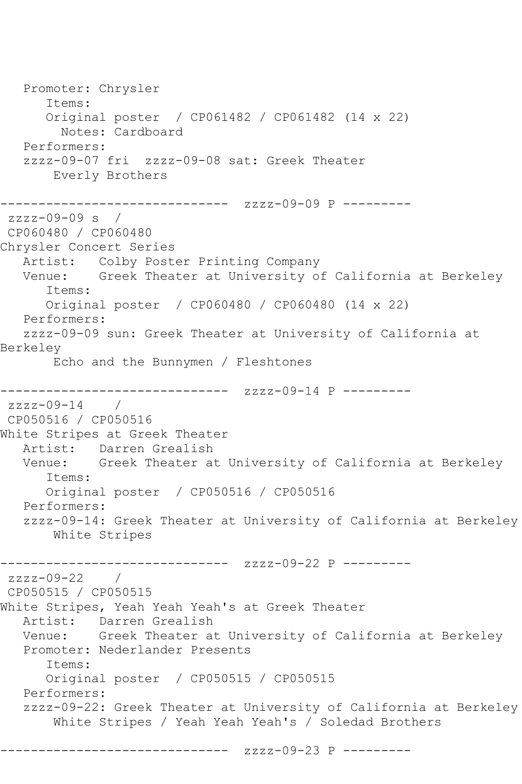Promoter: Chrysler Items: Original poster / CP061482 / CP061482 (14 x 22) Notes: Cardboard Performers: zzzz-09-07 fri zzzz-09-08 sat: Greek Theater Everly Brothers ------------------------------ zzzz-09-09 P --------  $zzzz-09-09 s$ CP060480 / CP060480 Chrysler Concert Series Artist: Colby Poster Printing Company Venue: Greek Theater at University of California at Berkeley Items: Original poster / CP060480 / CP060480 (14 x 22) Performers: zzzz-09-09 sun: Greek Theater at University of California at Berkeley Echo and the Bunnymen / Fleshtones ------------------------------ zzzz-09-14 P --------  $zzzz-09-14$  / CP050516 / CP050516 White Stripes at Greek Theater Artist: Darren Grealish Venue: Greek Theater at University of California at Berkeley Items: Original poster / CP050516 / CP050516 Performers: zzzz-09-14: Greek Theater at University of California at Berkeley White Stripes ------------------------------ zzzz-09-22 P -------- zzzz-09-22 / CP050515 / CP050515 White Stripes, Yeah Yeah Yeah's at Greek Theater Artist: Darren Grealish Venue: Greek Theater at University of California at Berkeley Promoter: Nederlander Presents Items: Original poster / CP050515 / CP050515 Performers: zzzz-09-22: Greek Theater at University of California at Berkeley White Stripes / Yeah Yeah Yeah's / Soledad Brothers

------------------------------ zzzz-09-23 P ---------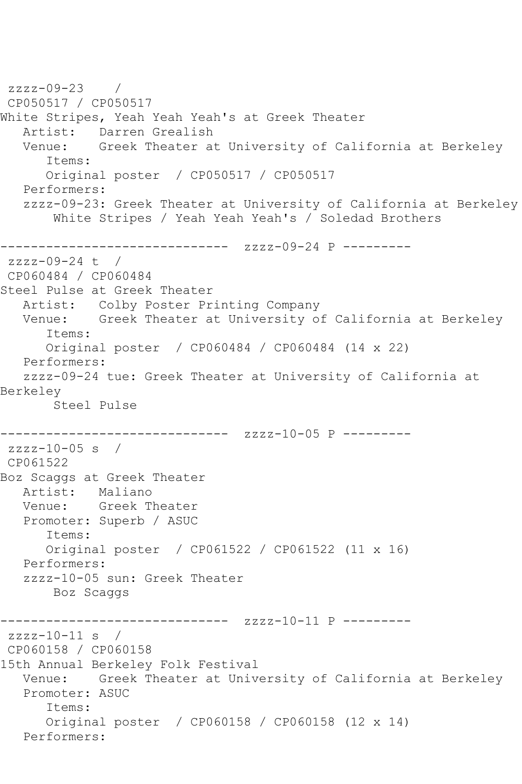```
zzzz-09-23 / 
CP050517 / CP050517
White Stripes, Yeah Yeah Yeah's at Greek Theater
  Artist: Darren Grealish<br>Venue: Greek Theater a
           Greek Theater at University of California at Berkeley
       Items:
      Original poster / CP050517 / CP050517
   Performers:
   zzzz-09-23: Greek Theater at University of California at Berkeley
        White Stripes / Yeah Yeah Yeah's / Soledad Brothers
------------------------------ zzzz-09-24 P ---------
zzzz-09-24 t / 
CP060484 / CP060484
Steel Pulse at Greek Theater
   Artist: Colby Poster Printing Company
   Venue: Greek Theater at University of California at Berkeley
       Items:
      Original poster / CP060484 / CP060484 (14 x 22)
   Performers:
   zzzz-09-24 tue: Greek Theater at University of California at 
Berkeley
       Steel Pulse
                ------------------------------ zzzz-10-05 P ---------
zzzz-10-05 s /
CP061522
Boz Scaggs at Greek Theater
   Artist: Maliano
   Venue: Greek Theater
   Promoter: Superb / ASUC
       Items:
      Original poster / CP061522 / CP061522 (11 x 16)
   Performers:
   zzzz-10-05 sun: Greek Theater
       Boz Scaggs
------------------------------ zzzz-10-11 P ---------
zzzz-10-11 s /CP060158 / CP060158
15th Annual Berkeley Folk Festival
   Venue: Greek Theater at University of California at Berkeley
   Promoter: ASUC
       Items:
      Original poster / CP060158 / CP060158 (12 x 14)
   Performers:
```